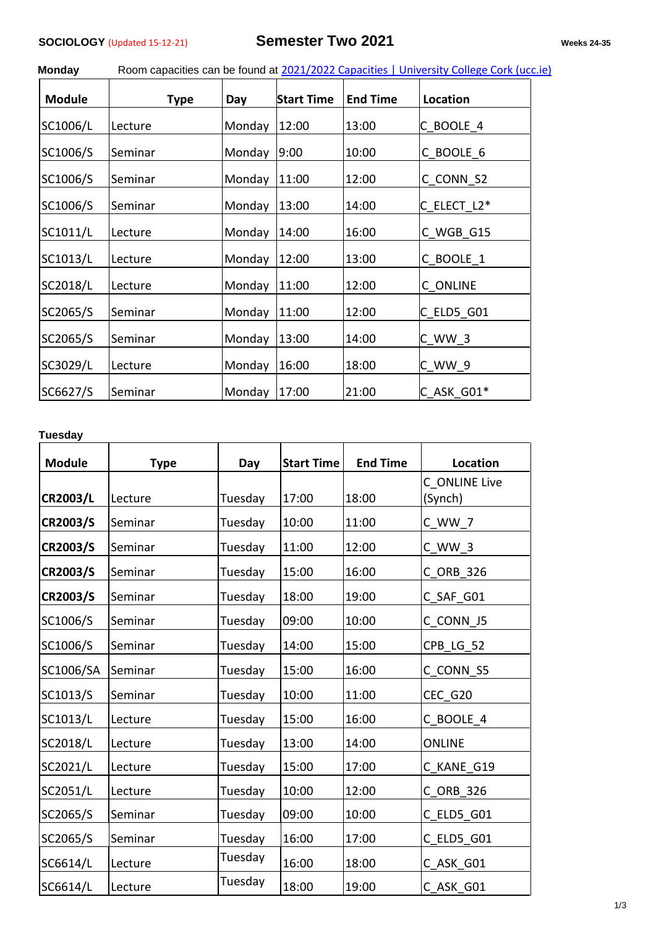| <b>Monday</b> | Room capacities can be found at 2021/2022 Capacities   University College Cork (ucc.ie) |  |  |  |
|---------------|-----------------------------------------------------------------------------------------|--|--|--|
|               |                                                                                         |  |  |  |

| <b>Module</b> | <b>Type</b>    | Day    | <b>Start Time</b> | <b>End Time</b> | Location      |
|---------------|----------------|--------|-------------------|-----------------|---------------|
| SC1006/L      | Lecture        | Monday | 12:00             | 13:00           | C_BOOLE_4     |
| SC1006/S      | Seminar        | Monday | 9:00              | 10:00           | C BOOLE 6     |
| SC1006/S      | <b>Seminar</b> | Monday | 11:00             | 12:00           | C CONN S2     |
| SC1006/S      | Seminar        | Monday | 13:00             | 14:00           | $C$ elect L2* |
| SC1011/L      | Lecture        | Monday | 14:00             | 16:00           | C WGB G15     |
| SC1013/L      | Lecture        | Monday | 12:00             | 13:00           | C BOOLE 1     |
| SC2018/L      | Lecture        | Monday | 11:00             | 12:00           | C ONLINE      |
| SC2065/S      | Seminar        | Monday | 11:00             | 12:00           | $C$ ELD5 G01  |
| SC2065/S      | Seminar        | Monday | 13:00             | 14:00           | C WW 3        |
| SC3029/L      | Lecture        | Monday | 16:00             | 18:00           | C WW 9        |
| SC6627/S      | Seminar        | Monday | 17:00             | 21:00           | C_ASK_G01*    |

## **Tuesday**

| <b>Module</b>   | <b>Type</b> | Day     | <b>Start Time</b> | <b>End Time</b> | Location      |
|-----------------|-------------|---------|-------------------|-----------------|---------------|
|                 |             |         |                   |                 | C ONLINE Live |
| <b>CR2003/L</b> | Lecture     | Tuesday | 17:00             | 18:00           | (Synch)       |
| CR2003/S        | Seminar     | Tuesday | 10:00             | 11:00           | $C_WW_7$      |
| CR2003/S        | Seminar     | Tuesday | 11:00             | 12:00           | C WW 3        |
| CR2003/S        | Seminar     | Tuesday | 15:00             | 16:00           | C_ORB_326     |
| CR2003/S        | Seminar     | Tuesday | 18:00             | 19:00           | C_SAF_G01     |
| SC1006/S        | Seminar     | Tuesday | 09:00             | 10:00           | C CONN J5     |
| SC1006/S        | Seminar     | Tuesday | 14:00             | 15:00           | CPB_LG_52     |
| SC1006/SA       | Seminar     | Tuesday | 15:00             | 16:00           | C_CONN_S5     |
| SC1013/S        | Seminar     | Tuesday | 10:00             | 11:00           | CEC_G20       |
| SC1013/L        | Lecture     | Tuesday | 15:00             | 16:00           | C BOOLE 4     |
| SC2018/L        | Lecture     | Tuesday | 13:00             | 14:00           | <b>ONLINE</b> |
| SC2021/L        | Lecture     | Tuesday | 15:00             | 17:00           | C KANE G19    |
| SC2051/L        | Lecture     | Tuesday | 10:00             | 12:00           | C_ORB_326     |
| SC2065/S        | Seminar     | Tuesday | 09:00             | 10:00           | C_ELD5_G01    |
| SC2065/S        | Seminar     | Tuesday | 16:00             | 17:00           | C_ELD5_G01    |
| SC6614/L        | Lecture     | Tuesday | 16:00             | 18:00           | C_ASK_G01     |
| SC6614/L        | Lecture     | Tuesday | 18:00             | 19:00           | C ASK G01     |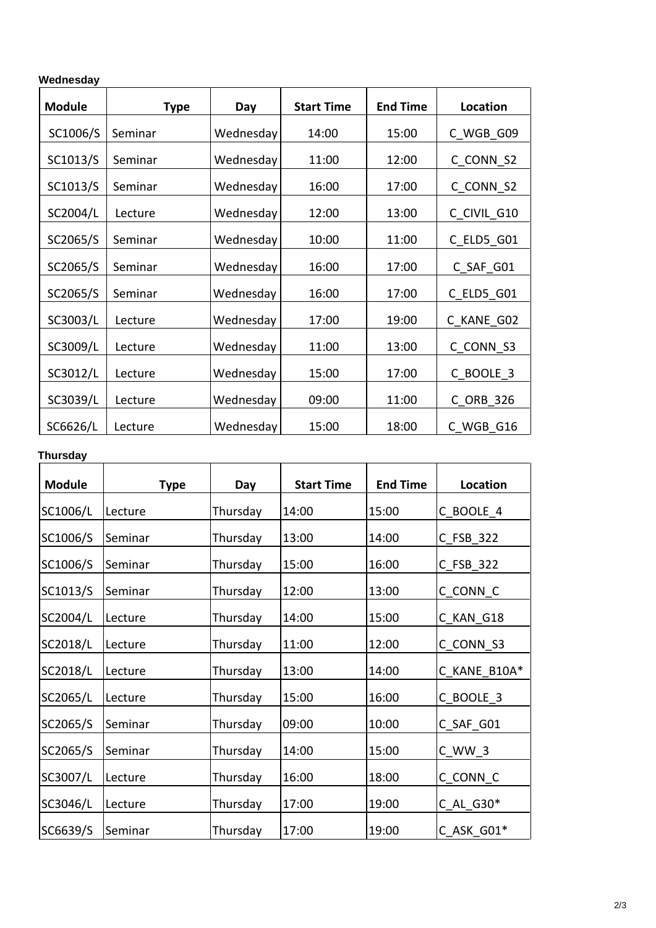| Wednesday |  |
|-----------|--|
|           |  |

| <b>Module</b> | <b>Type</b> | Day       | <b>Start Time</b> | <b>End Time</b> | Location    |
|---------------|-------------|-----------|-------------------|-----------------|-------------|
| SC1006/S      | Seminar     | Wednesday | 14:00             | 15:00           | C WGB G09   |
| SC1013/S      | Seminar     | Wednesday | 11:00             | 12:00           | C_CONN_S2   |
| SC1013/S      | Seminar     | Wednesday | 16:00             | 17:00           | C CONN S2   |
| SC2004/L      | Lecture     | Wednesday | 12:00             | 13:00           | C CIVIL G10 |
| SC2065/S      | Seminar     | Wednesday | 10:00             | 11:00           | C ELD5 G01  |
| SC2065/S      | Seminar     | Wednesday | 16:00             | 17:00           | C SAF G01   |
| SC2065/S      | Seminar     | Wednesday | 16:00             | 17:00           | C ELD5 G01  |
| SC3003/L      | Lecture     | Wednesday | 17:00             | 19:00           | C KANE G02  |
| SC3009/L      | Lecture     | Wednesday | 11:00             | 13:00           | C CONN_S3   |
| SC3012/L      | Lecture     | Wednesday | 15:00             | 17:00           | C BOOLE 3   |
| SC3039/L      | Lecture     | Wednesday | 09:00             | 11:00           | C ORB 326   |
| SC6626/L      | Lecture     | Wednesday | 15:00             | 18:00           | C WGB G16   |

## **Thursday**

| <b>Module</b> | Type    | Day      | <b>Start Time</b> | <b>End Time</b> | Location     |
|---------------|---------|----------|-------------------|-----------------|--------------|
| SC1006/L      | Lecture | Thursday | 14:00             | 15:00           | C_BOOLE_4    |
| SC1006/S      | Seminar | Thursday | 13:00             | 14:00           | $C_FSB_322$  |
| SC1006/S      | Seminar | Thursday | 15:00             | 16:00           | C_FSB_322    |
| SC1013/S      | Seminar | Thursday | 12:00             | 13:00           | C_CONN_C     |
| SC2004/L      | Lecture | Thursday | 14:00             | 15:00           | C_KAN_G18    |
| SC2018/L      | Lecture | Thursday | 11:00             | 12:00           | C_CONN_S3    |
| SC2018/L      | Lecture | Thursday | 13:00             | 14:00           | C_KANE_B10A* |
| SC2065/L      | Lecture | Thursday | 15:00             | 16:00           | C_BOOLE_3    |
| SC2065/S      | Seminar | Thursday | 09:00             | 10:00           | C_SAF_G01    |
| SC2065/S      | Seminar | Thursday | 14:00             | 15:00           | $C_{WW_3}$   |
| SC3007/L      | Lecture | Thursday | 16:00             | 18:00           | C_CONN_C     |
| SC3046/L      | Lecture | Thursday | 17:00             | 19:00           | $C_AL_G30*$  |
| SC6639/S      | Seminar | Thursday | 17:00             | 19:00           | C_ASK_G01*   |